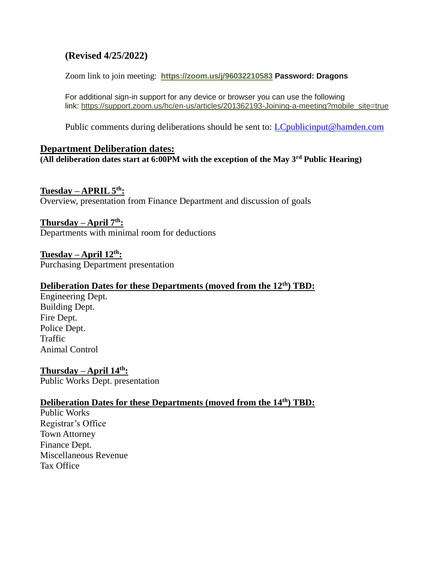# **(Revised 4/25/2022)**

Zoom link to join meeting: **<https://zoom.us/j/96032210583> Password: Dragons**

For additional sign-in support for any device or browser you can use the following link: [https://support.zoom.us/hc/en-us/articles/201362193-Joining-a-meeting?mobile\\_site=true](https://support.zoom.us/hc/en-us/articles/201362193-Joining-a-meeting?mobile_site=true)

Public comments during deliberations should be sent to: *LCpublicinput@hamden.com* 

#### **Department Deliberation dates:**

**(All deliberation dates start at 6:00PM with the exception of the May 3rd Public Hearing)**

#### **Tuesday – APRIL 5th:**

Overview, presentation from Finance Department and discussion of goals

#### **Thursday – April 7th:**

Departments with minimal room for deductions

**Tuesday – April 12th:** Purchasing Department presentation

#### **Deliberation Dates for these Departments (moved from the 12th) TBD:**

Engineering Dept. Building Dept. Fire Dept. Police Dept. Traffic Animal Control

**Thursday – April 14th:** Public Works Dept. presentation

# **Deliberation Dates for these Departments (moved from the 14th) TBD:**

Public Works Registrar's Office Town Attorney Finance Dept. Miscellaneous Revenue Tax Office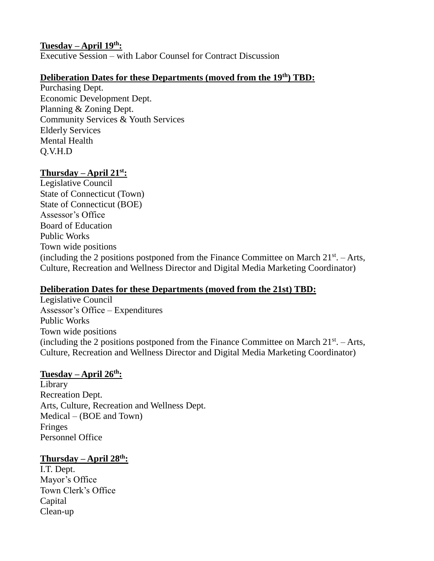### **Tuesday – April 19th:**

Executive Session – with Labor Counsel for Contract Discussion

# **Deliberation Dates for these Departments (moved from the 19th) TBD:**

Purchasing Dept. Economic Development Dept. Planning & Zoning Dept. Community Services & Youth Services Elderly Services Mental Health Q.V.H.D

# **Thursday – April 21st:**

Legislative Council State of Connecticut (Town) State of Connecticut (BOE) Assessor's Office Board of Education Public Works Town wide positions (including the 2 positions postponed from the Finance Committee on March  $21^{st}$ . – Arts, Culture, Recreation and Wellness Director and Digital Media Marketing Coordinator)

# **Deliberation Dates for these Departments (moved from the 21st) TBD:**

Legislative Council Assessor's Office – Expenditures Public Works Town wide positions (including the 2 positions postponed from the Finance Committee on March  $21^{st}$ . – Arts, Culture, Recreation and Wellness Director and Digital Media Marketing Coordinator)

#### **Tuesday – April 26th:**

Library Recreation Dept. Arts, Culture, Recreation and Wellness Dept. Medical – (BOE and Town) Fringes Personnel Office

# **Thursday – April 28th:**

I.T. Dept. Mayor's Office Town Clerk's Office Capital Clean-up